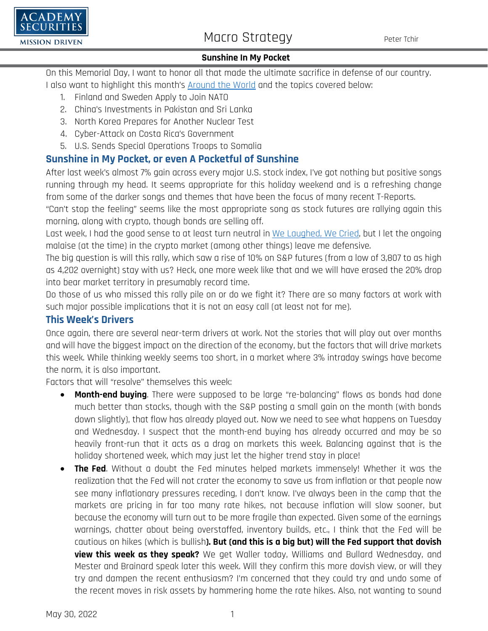

# Macro Strategy Peter Tchir

### **Sunshine In My Pocket**

On this Memorial Day, I want to honor all that made the ultimate sacrifice in defense of our country.

I also want to highlight this month's [Around the World](https://www.academysecurities.com/wordpress/wp-content/uploads/2022/05/Around-the-World-with-Academy-Securities_5_25_22.pdf) and the topics covered below:

- 1. Finland and Sweden Apply to Join NATO
- 2. China's Investments in Pakistan and Sri Lanka
- 3. North Korea Prepares for Another Nuclear Test
- 4. Cyber-Attack on Costa Rica's Government
- 5. U.S. Sends Special Operations Troops to Somalia

## **Sunshine in My Pocket, or even A Pocketful of Sunshine**

After last week's almost 7% gain across every major U.S. stock index, I've got nothing but positive songs running through my head. It seems appropriate for this holiday weekend and is a refreshing change from some of the darker songs and themes that have been the focus of many recent T-Reports.

"Can't stop the feeling" seems like the most appropriate song as stock futures are rallying again this morning, along with crypto, though bonds are selling off.

Last week, I had the good sense to at least turn neutral in [We Laughed, We Cried,](https://www.academysecurities.com/wordpress/wp-content/uploads/2022/05/We-Laughed-We-Cried.pdf) but I let the ongoing malaise (at the time) in the crypto market (among other things) leave me defensive.

The big question is will this rally, which saw a rise of 10% on S&P futures (from a low of 3,807 to as high as 4,202 overnight) stay with us? Heck, one more week like that and we will have erased the 20% drop into bear market territory in presumably record time.

Do those of us who missed this rally pile on or do we fight it? There are so many factors at work with such major possible implications that it is not an easy call (at least not for me).

### **This Week's Drivers**

Once again, there are several near-term drivers at work. Not the stories that will play out over months and will have the biggest impact on the direction of the economy, but the factors that will drive markets this week. While thinking weekly seems too short, in a market where 3% intraday swings have become the norm, it is also important.

Factors that will "resolve" themselves this week:

- **Month-end buying**. There were supposed to be large "re-balancing" flows as bonds had done much better than stocks, though with the S&P posting a small gain on the month (with bonds down slightly), that flow has already played out. Now we need to see what happens on Tuesday and Wednesday. I suspect that the month-end buying has already occurred and may be so heavily front-run that it acts as a drag on markets this week. Balancing against that is the holiday shortened week, which may just let the higher trend stay in place!
- **The Fed**. Without a doubt the Fed minutes helped markets immensely! Whether it was the realization that the Fed will not crater the economy to save us from inflation or that people now see many inflationary pressures receding, I don't know. I've always been in the camp that the markets are pricing in far too many rate hikes, not because inflation will slow sooner, but because the economy will turn out to be more fragile than expected. Given some of the earnings warnings, chatter about being overstaffed, inventory builds, etc., I think that the Fed will be cautious on hikes (which is bullish**). But (and this is a big but) will the Fed support that dovish view this week as they speak?** We get Waller today, Williams and Bullard Wednesday, and Mester and Brainard speak later this week. Will they confirm this more dovish view, or will they try and dampen the recent enthusiasm? I'm concerned that they could try and undo some of the recent moves in risk assets by hammering home the rate hikes. Also, not wanting to sound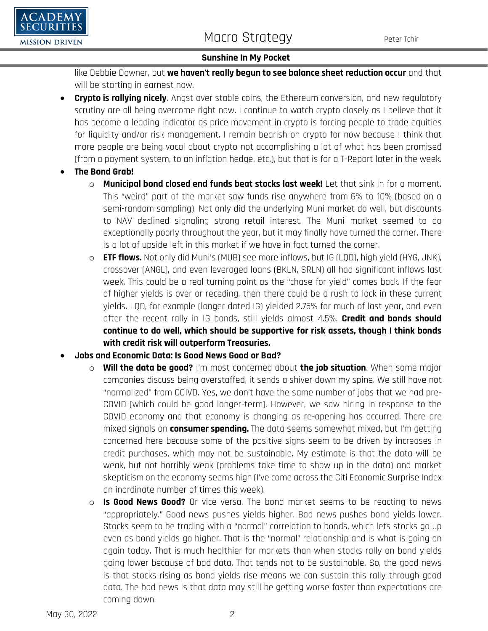



### **Sunshine In My Pocket**

like Debbie Downer, but **we haven't really begun to see balance sheet reduction occur** and that will be starting in earnest now.

- **Crypto is rallying nicely**. Angst over stable coins, the Ethereum conversion, and new regulatory scrutiny are all being overcome right now. I continue to watch crypto closely as I believe that it has become a leading indicator as price movement in crypto is forcing people to trade equities for liquidity and/or risk management. I remain bearish on crypto for now because I think that more people are being vocal about crypto not accomplishing a lot of what has been promised (from a payment system, to an inflation hedge, etc.), but that is for a T-Report later in the week.
- **The Bond Grab!**
	- o **Municipal bond closed end funds beat stocks last week!** Let that sink in for a moment. This "weird" part of the market saw funds rise anywhere from 6% to 10% (based on a semi-random sampling). Not only did the underlying Muni market do well, but discounts to NAV declined signaling strong retail interest. The Muni market seemed to do exceptionally poorly throughout the year, but it may finally have turned the corner. There is a lot of upside left in this market if we have in fact turned the corner.
	- o **ETF flows.** Not only did Muni's (MUB) see more inflows, but IG (LQD), high yield (HYG, JNK), crossover (ANGL), and even leveraged loans (BKLN, SRLN) all had significant inflows last week. This could be a real turning point as the "chase for yield" comes back. If the fear of higher yields is over or receding, then there could be a rush to lock in these current yields. LQD, for example (longer dated IG) yielded 2.75% for much of last year, and even after the recent rally in IG bonds, still yields almost 4.5%. **Credit and bonds should continue to do well, which should be supportive for risk assets, though I think bonds with credit risk will outperform Treasuries.**
- **Jobs and Economic Data: Is Good News Good or Bad?**
	- o **Will the data be good?** I'm most concerned about **the job situation**. When some major companies discuss being overstaffed, it sends a shiver down my spine. We still have not "normalized" from COIVD. Yes, we don't have the same number of jobs that we had pre-COVID (which could be good longer-term). However, we saw hiring in response to the COVID economy and that economy is changing as re-opening has occurred. There are mixed signals on **consumer spending.** The data seems somewhat mixed, but I'm getting concerned here because some of the positive signs seem to be driven by increases in credit purchases, which may not be sustainable. My estimate is that the data will be weak, but not horribly weak (problems take time to show up in the data) and market skepticism on the economy seems high (I've come across the Citi Economic Surprise Index an inordinate number of times this week).
	- o **Is Good News Good?** Or vice versa. The bond market seems to be reacting to news "appropriately." Good news pushes yields higher. Bad news pushes bond yields lower. Stocks seem to be trading with a "normal" correlation to bonds, which lets stocks go up even as bond yields go higher. That is the "normal" relationship and is what is going on again today. That is much healthier for markets than when stocks rally on bond yields going lower because of bad data. That tends not to be sustainable. So, the good news is that stocks rising as bond yields rise means we can sustain this rally through good data. The bad news is that data may still be getting worse faster than expectations are coming down.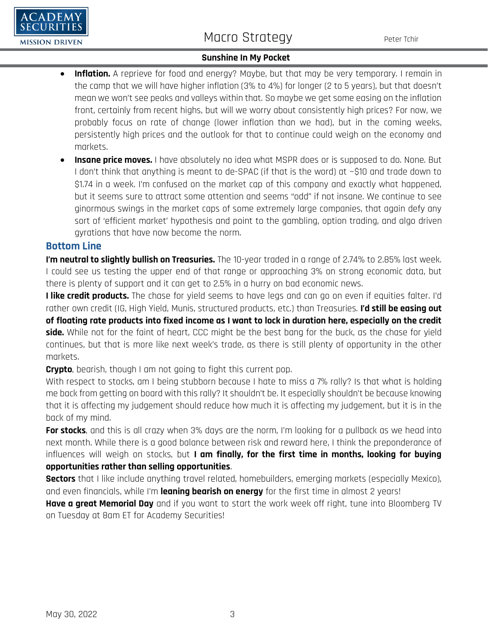# Macro Strategy Peter Tchir

### **Sunshine In My Pocket**

- **Inflation.** A reprieve for food and energy? Maybe, but that may be very temporary. I remain in the camp that we will have higher inflation (3% to 4%) for longer (2 to 5 years), but that doesn't mean we won't see peaks and valleys within that. So maybe we get some easing on the inflation front, certainly from recent highs, but will we worry about consistently high prices? For now, we probably focus on rate of change (lower inflation than we had), but in the coming weeks, persistently high prices and the outlook for that to continue could weigh on the economy and markets.
- **Insane price moves.** I have absolutely no idea what MSPR does or is supposed to do. None. But I don't think that anything is meant to de-SPAC (if that is the word) at ~\$10 and trade down to \$1.74 in a week. I'm confused on the market cap of this company and exactly what happened, but it seems sure to attract some attention and seems "odd" if not insane. We continue to see ginormous swings in the market caps of some extremely large companies, that again defy any sort of 'efficient market' hypothesis and point to the gambling, option trading, and algo driven gyrations that have now become the norm.

### **Bottom Line**

 $\bf DEMY$ 

**MISSION DRIVEN** 

**I'm neutral to slightly bullish on Treasuries.** The 10-year traded in a range of 2.74% to 2.85% last week. I could see us testing the upper end of that range or approaching 3% on strong economic data, but there is plenty of support and it can get to 2.5% in a hurry on bad economic news.

**I like credit products.** The chase for yield seems to have legs and can go on even if equities falter. I'd rather own credit (IG, High Yield, Munis, structured products, etc.) than Treasuries. **I'd still be easing out of floating rate products into fixed income as I want to lock in duration here, especially on the credit side.** While not for the faint of heart, CCC might be the best bang for the buck, as the chase for yield continues, but that is more like next week's trade, as there is still plenty of opportunity in the other markets.

**Crypto**, bearish, though I am not going to fight this current pop.

With respect to stocks, am I being stubborn because I hate to miss a 7% rally? Is that what is holding me back from getting on board with this rally? It shouldn't be. It especially shouldn't be because knowing that it is affecting my judgement should reduce how much it is affecting my judgement, but it is in the back of my mind.

**For stocks**, and this is all crazy when 3% days are the norm, I'm looking for a pullback as we head into next month. While there is a good balance between risk and reward here, I think the preponderance of influences will weigh on stocks, but **I am finally, for the first time in months, looking for buying opportunities rather than selling opportunities**.

**Sectors** that I like include anything travel related, homebuilders, emerging markets (especially Mexico), and even financials, while I'm **leaning bearish on energy** for the first time in almost 2 years!

**Have a great Memorial Day** and if you want to start the work week off right, tune into Bloomberg TV on Tuesday at 8am ET for Academy Securities!